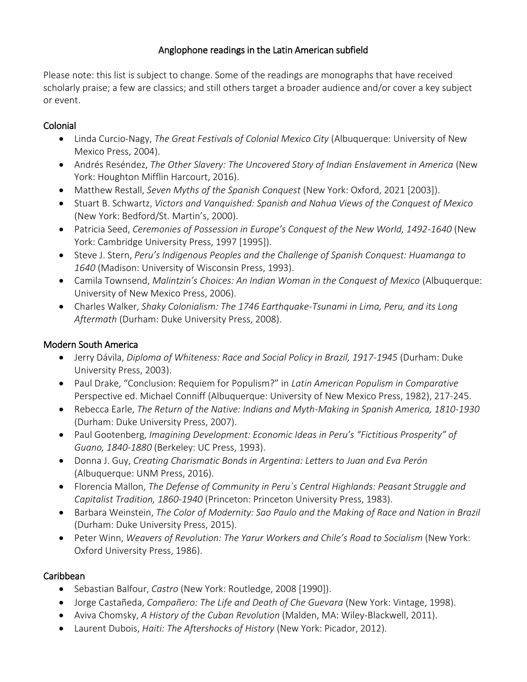### Anglophone readings in the Latin American subfield

Please note: this list is subject to change. Some of the readings are monographs that have received scholarly praise; a few are classics; and still others target a broader audience and/or cover a key subject or event.

### Colonial

- Linda Curcio-Nagy, *The Great Festivals of Colonial Mexico City* (Albuquerque: University of New Mexico Press, 2004).
- Andrés Reséndez, *The Other Slavery: The Uncovered Story of Indian Enslavement in America* (New York: Houghton Mifflin Harcourt, 2016).
- Matthew Restall, *Seven Myths of the Spanish Conquest* (New York: Oxford, 2021 [2003]).
- Stuart B. Schwartz, *Victors and Vanquished: Spanish and Nahua Views of the Conquest of Mexico* (New York: Bedford/St. Martin's, 2000).
- Patricia Seed, *Ceremonies of Possession in Europe's Conquest of the New World, 1492-1640* (New York: Cambridge University Press, 1997 [1995]).
- Steve J. Stern, *Peru's Indigenous Peoples and the Challenge of Spanish Conquest: Huamanga to 1640* (Madison: University of Wisconsin Press, 1993).
- Camila Townsend, *Malintzin's Choices: An Indian Woman in the Conquest of Mexico* (Albuquerque: University of New Mexico Press, 2006).
- Charles Walker, *Shaky Colonialism: The 1746 Earthquake-Tsunami in Lima, Peru, and its Long Aftermath* (Durham: Duke University Press, 2008).

## Modern South America

- Jerry Dávila, *Diploma of Whiteness: Race and Social Policy in Brazil, 1917-1945* (Durham: Duke University Press, 2003).
- Paul Drake, "Conclusion: Requiem for Populism?" in *Latin American Populism in Comparative* Perspective ed. Michael Conniff (Albuquerque: University of New Mexico Press, 1982), 217-245.
- Rebecca Earle, *The Return of the Native: Indians and Myth-Making in Spanish America, 1810-1930* (Durham: Duke University Press, 2007).
- Paul Gootenberg, *Imagining Development: Economic Ideas in Peru's "Fictitious Prosperity" of Guano, 1840-1880* (Berkeley: UC Press, 1993).
- Donna J. Guy, *Creating Charismatic Bonds in Argentina: Letters to Juan and Eva Perón*  (Albuquerque: UNM Press, 2016).
- Florencia Mallon, *The Defense of Community in Peru´s Central Highlands: Peasant Struggle and Capitalist Tradition, 1860-1940* (Princeton: Princeton University Press, 1983).
- Barbara Weinstein, *The Color of Modernity: Sao Paulo and the Making of Race and Nation in Brazil* (Durham: Duke University Press, 2015).
- Peter Winn, *Weavers of Revolution: The Yarur Workers and Chile's Road to Socialism* (New York: Oxford University Press, 1986).

# Caribbean

- Sebastian Balfour, *Castro* (New York: Routledge, 2008 [1990]).
- Jorge Castañeda, *Compañero: The Life and Death of Che Guevara* (New York: Vintage, 1998).
- Aviva Chomsky, *A History of the Cuban Revolution* (Malden, MA: Wiley-Blackwell, 2011).
- Laurent Dubois, *Haiti: The Aftershocks of History* (New York: Picador, 2012).